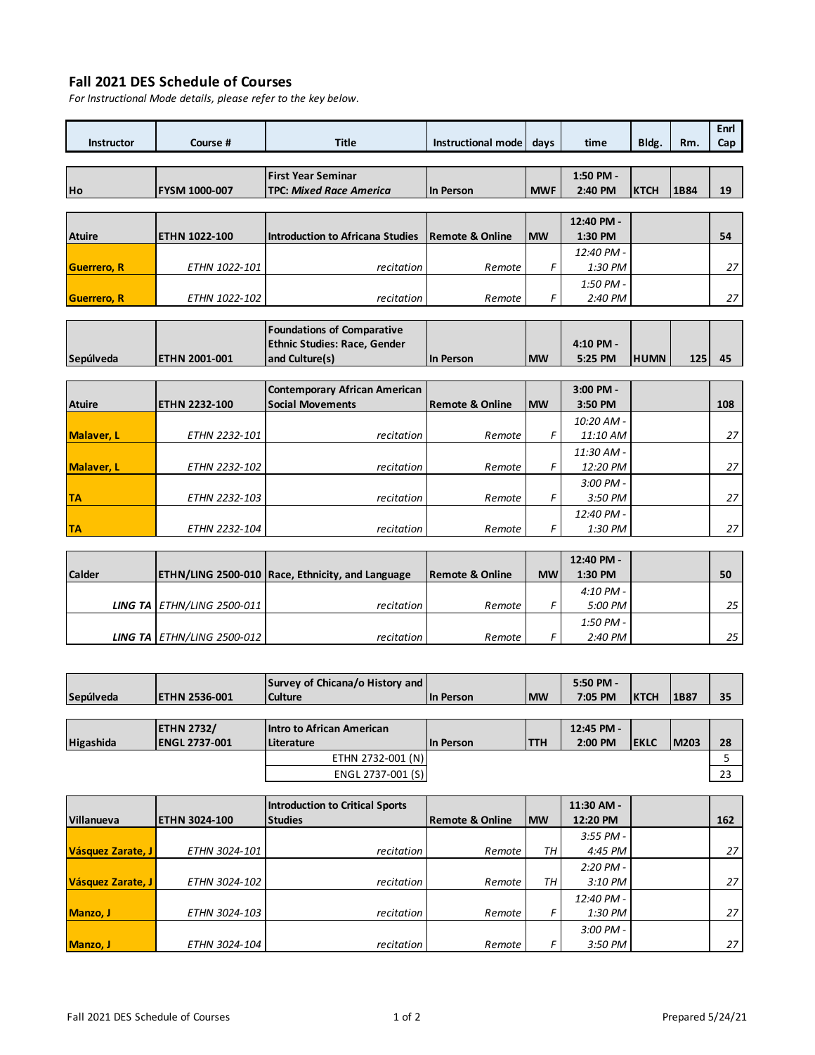## **Fall 2021 DES Schedule of Courses**

**Sepúlveda ETHN 2001-001**

*For Instructional Mode details, please refer to the key below.*

| <b>Instructor</b>   | Course #             | <b>Title</b>                        | Instructional mode         | days       | time       | Bldg.       | Rm.  | Enrl<br>Cap |
|---------------------|----------------------|-------------------------------------|----------------------------|------------|------------|-------------|------|-------------|
|                     |                      |                                     |                            |            |            |             |      |             |
|                     |                      | <b>First Year Seminar</b>           |                            |            | 1:50 PM -  |             |      |             |
| Ho                  | <b>FYSM 1000-007</b> | <b>TPC: Mixed Race America</b>      | In Person                  | <b>MWF</b> | 2:40 PM    | <b>KTCH</b> | 1B84 | 19          |
|                     |                      |                                     |                            |            |            |             |      |             |
|                     |                      |                                     |                            |            | 12:40 PM - |             |      |             |
| <b>Atuire</b>       | <b>ETHN 1022-100</b> | Introduction to Africana Studies    | <b>Remote &amp; Online</b> | <b>IMW</b> | 1:30 PM    |             |      | 54          |
|                     |                      |                                     |                            |            | 12:40 PM - |             |      |             |
| <b>Guerrero, R.</b> | ETHN 1022-101        | recitation                          | Remote                     | F          | 1:30 PM    |             |      | 27          |
|                     |                      |                                     |                            |            | 1:50 PM -  |             |      |             |
| <b>Guerrero, R</b>  | ETHN 1022-102        | recitation                          | Remote                     | F          | 2:40 PM    |             |      | 27          |
|                     |                      |                                     |                            |            |            |             |      |             |
|                     |                      | <b>Foundations of Comparative</b>   |                            |            |            |             |      |             |
|                     |                      | <b>Ethnic Studies: Race, Gender</b> |                            |            | 4:10 PM -  |             |      |             |
| Sepúlveda           | ETHN 2001-001        | and Culture(s)                      | In Person                  | <b>IMW</b> | 5:25 PM    | <b>HUMN</b> | 125  | 45          |

|               |                      | Contemporary African American |                 |            | 3:00 PM -   |     |
|---------------|----------------------|-------------------------------|-----------------|------------|-------------|-----|
| <b>Atuire</b> | <b>ETHN 2232-100</b> | <b>Social Movements</b>       | Remote & Online | <b>IMW</b> | 3:50 PM     | 108 |
|               |                      |                               |                 |            | 10:20 AM -  |     |
| Malaver, L    | <b>ETHN 2232-101</b> | recitation                    | Remote          | F          | 11:10 AM    | 27  |
|               |                      |                               |                 |            | 11:30 AM -  |     |
| Malaver, L    | <b>ETHN 2232-102</b> | recitation                    | Remote          |            | 12:20 PM    | 27  |
|               |                      |                               |                 |            | $3:00$ PM - |     |
| <b>TA</b>     | <b>ETHN 2232-103</b> | recitation                    | Remote          |            | 3:50 PM     | 27  |
|               |                      |                               |                 |            | 12:40 PM -  |     |
| <b>TA</b>     | <b>ETHN 2232-104</b> | recitation                    | Remote          |            | 1:30 PM     | 27  |

|               |                            |                                                         |                            |           | 12:40 PM -  |    |
|---------------|----------------------------|---------------------------------------------------------|----------------------------|-----------|-------------|----|
| <b>Calder</b> |                            | <b>ETHN/LING 2500-010 Race, Ethnicity, and Language</b> | <b>Remote &amp; Online</b> | <b>MW</b> | 1:30 PM     | 50 |
|               |                            |                                                         |                            |           | $4:10$ PM - |    |
|               | LING TA ETHN/LING 2500-011 | <i>recitation</i>                                       | Remote                     |           | 5:00 PM     | 25 |
|               |                            |                                                         |                            |           | $1:50$ PM - |    |
|               | LING TA ETHN/LING 2500-012 | recitation                                              | Remote                     |           | 2:40 PM     | 25 |

|           |                      | Survey of Chicana/o History and |           |             | 5:50 PM -  |             |             |    |
|-----------|----------------------|---------------------------------|-----------|-------------|------------|-------------|-------------|----|
| Sepúlveda | <b>ETHN 2536-001</b> | <b>Culture</b>                  | In Person | <b>IMW</b>  | 7:05 PM    | <b>KTCH</b> | 1B87        | 35 |
|           |                      |                                 |           |             |            |             |             |    |
|           | <b>ETHN 2732/</b>    | Intro to African American       |           |             | 12:45 PM - |             |             |    |
| Higashida | <b>ENGL 2737-001</b> | Literature                      | In Person | <b>ITTH</b> | 2:00 PM    | <b>EKLC</b> | <b>M203</b> | 28 |
|           |                      | ETHN 2732-001 (N)               |           |             |            |             |             |    |
|           |                      | ENGL 2737-001 (S)               |           |             |            |             |             | 23 |
|           |                      |                                 |           |             |            |             |             |    |

|                   |                      | <b>Introduction to Critical Sports</b> |                 |            | 11:30 AM -  |     |
|-------------------|----------------------|----------------------------------------|-----------------|------------|-------------|-----|
| Villanueva        | <b>ETHN 3024-100</b> | <b>Studies</b>                         | Remote & Online | <b>IMW</b> | 12:20 PM    | 162 |
|                   |                      |                                        |                 |            | $3:55$ PM - |     |
| Vásquez Zarate, J | <b>ETHN 3024-101</b> | <i>recitation</i>                      | Remote          | TН         | 4:45 PM     | 27  |
|                   |                      |                                        |                 |            | $2:20$ PM - |     |
| Vásquez Zarate, J | <b>ETHN 3024-102</b> | recitation                             | Remote          | TН         | 3:10 PM     | 27  |
|                   |                      |                                        |                 |            | 12:40 PM -  |     |
| Manzo, J          | <b>ETHN 3024-103</b> | recitation                             | Remote          | F          | 1:30 PM     | 27  |
|                   |                      |                                        |                 |            | $3:00$ PM - |     |
| Manzo, J          | <b>ETHN 3024-104</b> | recitation                             | Remote          |            | 3:50 PM     | 27  |